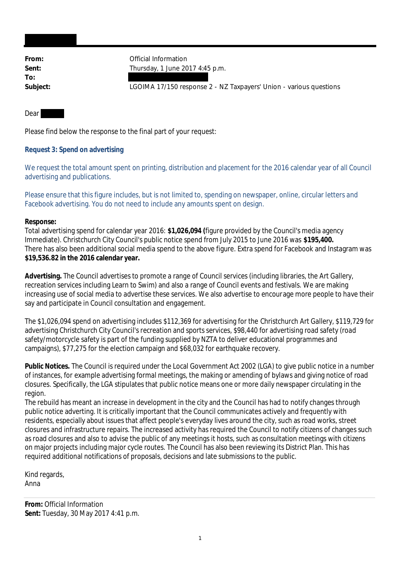**To:**

From: **From:** Official Information **Sent:** Thursday, 1 June 2017 4:45 p.m.

**Subject:** LGOIMA 17/150 response 2 - NZ Taxpayers' Union - various questions

#### Dear

Please find below the response to the final part of your request:

**Request 3: Spend on advertising**

We request the total amount spent on printing, distribution and placement for the 2016 calendar year of all Council advertising and publications.

Please ensure that this figure includes, but is not limited to, spending on newspaper, online, circular letters and Facebook advertising. You do not need to include any amounts spent on design.

#### **Response:**

Total advertising spend for calendar year 2016: **\$1,026,094 (**figure provided by the Council's media agency Immediate). Christchurch City Council's public notice spend from July 2015 to June 2016 was **\$195,400.** There has also been additional social media spend to the above figure. Extra spend for Facebook and Instagram was **\$19,536.82 in the 2016 calendar year.**

**Advertising.** The Council advertises to promote a range of Council services (including libraries, the Art Gallery, recreation services including Learn to Swim) and also a range of Council events and festivals. We are making increasing use of social media to advertise these services. We also advertise to encourage more people to have their say and participate in Council consultation and engagement.

The \$1,026,094 spend on advertising includes \$112,369 for advertising for the Christchurch Art Gallery, \$119,729 for advertising Christchurch City Council's recreation and sports services, \$98,440 for advertising road safety (road safety/motorcycle safety is part of the funding supplied by NZTA to deliver educational programmes and campaigns), \$77,275 for the election campaign and \$68,032 for earthquake recovery.

**Public Notices.** The Council is required under the Local Government Act 2002 (LGA) to give public notice in a number of instances, for example advertising formal meetings, the making or amending of bylaws and giving notice of road closures. Specifically, the LGA stipulates that public notice means one or more daily newspaper circulating in the region.

The rebuild has meant an increase in development in the city and the Council has had to notify changes through public notice adverting. It is critically important that the Council communicates actively and frequently with residents, especially about issues that affect people's everyday lives around the city, such as road works, street closures and infrastructure repairs. The increased activity has required the Council to notify citizens of changes such as road closures and also to advise the public of any meetings it hosts, such as consultation meetings with citizens on major projects including major cycle routes. The Council has also been reviewing its District Plan. This has required additional notifications of proposals, decisions and late submissions to the public.

Kind regards, Anna

**From:** Official Information **Sent:** Tuesday, 30 May 2017 4:41 p.m.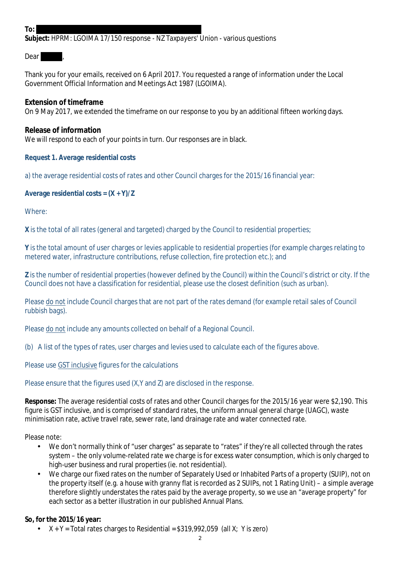### **To:**

**Subject:** HPRM: LGOIMA 17/150 response - NZ Taxpayers' Union - various questions

Dear I

Thank you for your emails, received on 6 April 2017. You requested a range of information under the Local Government Official Information and Meetings Act 1987 (LGOIMA).

**Extension of timeframe** On 9 May 2017, we extended the timeframe on our response to you by an additional fifteen working days.

**Release of information** We will respond to each of your points in turn. Our responses are in black.

**Request 1. Average residential costs**

a) the average residential costs of rates and other Council charges for the 2015/16 financial year:

**Average residential costs = (X + Y)/Z**

Where:

**X** is the total of all rates (general and targeted) charged by the Council to residential properties;

**Y** is the total amount of user charges or levies applicable to residential properties (for example charges relating to metered water, infrastructure contributions, refuse collection, fire protection etc.); and

**Z** is the number of residential properties (however defined by the Council) within the Council's district or city. If the Council does not have a classification for residential, please use the closest definition (such as urban).

Please do not include Council charges that are not part of the rates demand (for example retail sales of Council rubbish bags).

Please do not include any amounts collected on behalf of a Regional Council.

(b) A list of the types of rates, user charges and levies used to calculate each of the figures above.

Please use GST inclusive figures for the calculations

Please ensure that the figures used (X,Y and Z) are disclosed in the response.

**Response:** The average residential costs of rates and other Council charges for the 2015/16 year were \$2,190. This figure is GST inclusive, and is comprised of standard rates, the uniform annual general charge (UAGC), waste minimisation rate, active travel rate, sewer rate, land drainage rate and water connected rate.

Please note:

- We don't normally think of "user charges" as separate to "rates" if they're all collected through the rates  $\mathbf{r}$ system – the only volume-related rate we charge is for excess water consumption, which is only charged to high-user business and rural properties (ie. not residential).
- We charge our fixed rates on the number of Separately Used or Inhabited Parts of a property (SUIP), not on the property itself (e.g. a house with granny flat is recorded as 2 SUIPs, not 1 Rating Unit) – a simple average therefore slightly understates the rates paid by the average property, so we use an "average property" for each sector as a better illustration in our published Annual Plans.

**So, for the 2015/16 year:**

 $X + Y =$  Total rates charges to Residential = \$319,992,059 (all X; Y is zero)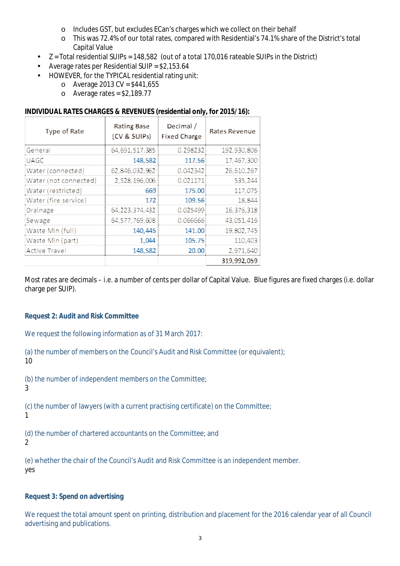- o Includes GST, but excludes ECan's charges which we collect on their behalf
- o This was 72.4% of our total rates, compared with Residential's 74.1% share of the District's total Capital Value
- Z = Total residential SUIPs = 148,582 (out of a total 170,016 rateable SUIPs in the District)
- Average rates per Residential SUIP = \$2,153.64
- HOWEVER, for the TYPICAL residential rating unit:
	- o Average 2013 CV = \$441,655
	- $\circ$  Average rates = \$2,189.77

| Type of Rate          | <b>Rating Base</b><br>(CV & SUIPs) | Decimal /<br><b>Fixed Charge</b> | <b>Rates Revenue</b> |
|-----------------------|------------------------------------|----------------------------------|----------------------|
| General               | 64,691,517,385                     | 0.298232                         | 192,930,806          |
| <b>UAGC</b>           | 148,582                            | 117.56                           | 17,467,300           |
| Water (connected)     | 62,846,032,962                     | 0.042342                         | 26,610,267           |
| Water (not connected) | 2,528,196,006                      | 0.021171                         | 535,244              |
| Water (restricted)    | 669                                | 175.00                           | 117,075              |
| Water (fire service)  | 172                                | 109.56                           | 18,844               |
| Drainage              | 64, 223, 374, 432                  | 0.025499                         | 16,376,318           |
| Sewage                | 64,577,769,608                     | 0.066666                         | 43,051,416           |
| Waste Min (full)      | 140,445                            | 141.00                           | 19,802,745           |
| Waste Min (part)      | 1,044                              | 105.75                           | 110,403              |
| Active Travel         | 148,582                            | 20.00                            | 2,971,640            |
|                       |                                    |                                  | 319,992,059          |

Most rates are decimals – i.e. a number of cents per dollar of Capital Value. Blue figures are fixed charges (i.e. dollar charge per SUIP).

**Request 2: Audit and Risk Committee**

We request the following information as of 31 March 2017:

(a) the number of members on the Council's Audit and Risk Committee (or equivalent); 10

(b) the number of independent members on the Committee;

3

(c) the number of lawyers (with a current practising certificate) on the Committee;

1

(d) the number of chartered accountants on the Committee; and

 $\mathfrak{2}$ 

(e) whether the chair of the Council's Audit and Risk Committee is an independent member. yes

**Request 3: Spend on advertising**

We request the total amount spent on printing, distribution and placement for the 2016 calendar year of all Council advertising and publications.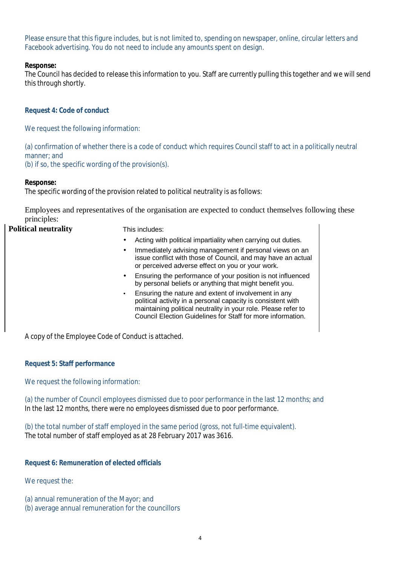Please ensure that this figure includes, but is not limited to, spending on newspaper, online, circular letters and Facebook advertising. You do not need to include any amounts spent on design.

**Response:**

The Council has decided to release this information to you. Staff are currently pulling this together and we will send this through shortly.

**Request 4: Code of conduct**

We request the following information:

(a) confirmation of whether there is a code of conduct which requires Council staff to act in a politically neutral manner; and

(b) if so, the specific wording of the provision(s).

**Response:**

The specific wording of the provision related to political neutrality is as follows:

Employees and representatives of the organisation are expected to conduct themselves following these principles:

| <b>Political neutrality</b> | This includes:                                                                                                                                                                                                                                        |
|-----------------------------|-------------------------------------------------------------------------------------------------------------------------------------------------------------------------------------------------------------------------------------------------------|
|                             | Acting with political impartiality when carrying out duties.                                                                                                                                                                                          |
|                             | Immediately advising management if personal views on an<br>issue conflict with those of Council, and may have an actual<br>or perceived adverse effect on you or your work.                                                                           |
|                             | Ensuring the performance of your position is not influenced<br>by personal beliefs or anything that might benefit you.                                                                                                                                |
|                             | Ensuring the nature and extent of involvement in any<br>political activity in a personal capacity is consistent with<br>maintaining political neutrality in your role. Please refer to<br>Council Election Guidelines for Staff for more information. |
|                             |                                                                                                                                                                                                                                                       |

A copy of the Employee Code of Conduct is attached.

**Request 5: Staff performance**

We request the following information:

(a) the number of Council employees dismissed due to poor performance in the last 12 months; and In the last 12 months, there were no employees dismissed due to poor performance.

(b) the total number of staff employed in the same period (gross, not full-time equivalent). The total number of staff employed as at 28 February 2017 was 3616.

**Request 6: Remuneration of elected officials**

We request the:

- (a) annual remuneration of the Mayor; and
- (b) average annual remuneration for the councillors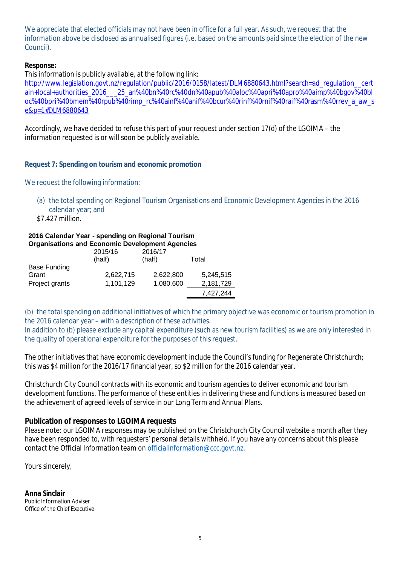We appreciate that elected officials may not have been in office for a full year. As such, we request that the information above be disclosed as annualised figures (i.e. based on the amounts paid since the election of the new Council).

**Response:**

This information is publicly available, at the following link:

http://www.legislation.govt.nz/regulation/public/2016/0158/latest/DLM6880643.html?search=ad\_regulation\_\_cert ain+local+authorities\_2016\_\_\_25\_an%40bn%40rc%40dn%40apub%40aloc%40apri%40apro%40aimp%40bgov%40bl oc%40bpri%40bmem%40rpub%40rimp\_rc%40ainf%40anif%40bcur%40rinf%40rnif%40raif%40rasm%40rrev\_a\_aw\_s e&p=1#DLM6880643

Accordingly, we have decided to refuse this part of your request under section 17(d) of the LGOIMA – the information requested is or will soon be publicly available.

**Request 7: Spending on tourism and economic promotion**

We request the following information:

- (a) the total spending on Regional Tourism Organisations and Economic Development Agencies in the 2016 calendar year; and
- \$7.427 million.

#### **2016 Calendar Year - spending on Regional Tourism Organisations and Economic Development Agencies**

|                     | 2015/16<br>(half) | 2016/17<br>(half) | Total     |
|---------------------|-------------------|-------------------|-----------|
| <b>Base Funding</b> |                   |                   |           |
| Grant               | 2,622,715         | 2,622,800         | 5,245,515 |
| Project grants      | 1,101,129         | 1,080,600         | 2,181,729 |
|                     |                   |                   | 7,427,244 |

(b) the total spending on additional initiatives of which the primary objective was economic or tourism promotion in the 2016 calendar year – with a description of these activities.

In addition to (b) please exclude any capital expenditure (such as new tourism facilities) as we are only interested in the quality of operational expenditure for the purposes of this request.

The other initiatives that have economic development include the Council's funding for Regenerate Christchurch; this was \$4 million for the 2016/17 financial year, so \$2 million for the 2016 calendar year.

Christchurch City Council contracts with its economic and tourism agencies to deliver economic and tourism development functions. The performance of these entities in delivering these and functions is measured based on the achievement of agreed levels of service in our Long Term and Annual Plans.

**Publication of responses to LGOIMA requests**

Please note: our LGOIMA responses may be published on the Christchurch City Council website a month after they have been responded to, with requesters' personal details withheld. If you have any concerns about this please contact the Official Information team on officialinformation@ccc.govt.nz.

Yours sincerely,

**Anna Sinclair** Public Information Adviser Office of the Chief Executive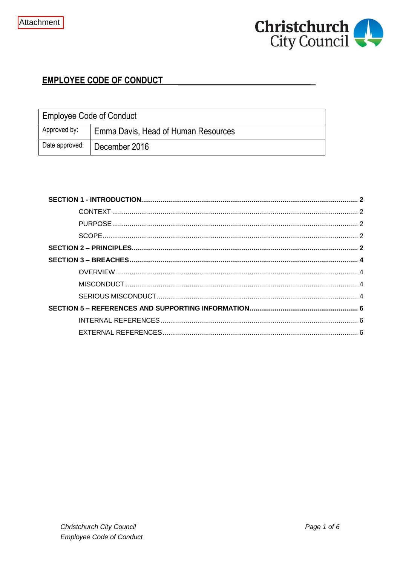

# **EMPLOYEE CODE OF CONDUCT**

| <b>Employee Code of Conduct</b> |                                     |  |
|---------------------------------|-------------------------------------|--|
| Approved by:                    | Emma Davis, Head of Human Resources |  |
| Date approved:                  | December 2016                       |  |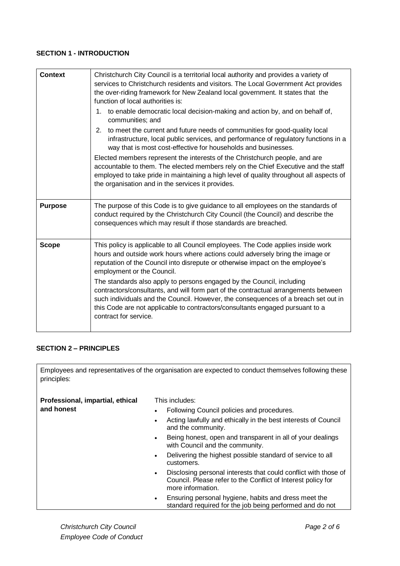## **SECTION 1 - INTRODUCTION**

| <b>Context</b> | Christchurch City Council is a territorial local authority and provides a variety of<br>services to Christchurch residents and visitors. The Local Government Act provides<br>the over-riding framework for New Zealand local government. It states that the<br>function of local authorities is:<br>1. to enable democratic local decision-making and action by, and on behalf of,<br>communities; and<br>to meet the current and future needs of communities for good-quality local<br>2.<br>infrastructure, local public services, and performance of regulatory functions in a<br>way that is most cost-effective for households and businesses.<br>Elected members represent the interests of the Christchurch people, and are<br>accountable to them. The elected members rely on the Chief Executive and the staff<br>employed to take pride in maintaining a high level of quality throughout all aspects of<br>the organisation and in the services it provides. |
|----------------|---------------------------------------------------------------------------------------------------------------------------------------------------------------------------------------------------------------------------------------------------------------------------------------------------------------------------------------------------------------------------------------------------------------------------------------------------------------------------------------------------------------------------------------------------------------------------------------------------------------------------------------------------------------------------------------------------------------------------------------------------------------------------------------------------------------------------------------------------------------------------------------------------------------------------------------------------------------------------|
| <b>Purpose</b> | The purpose of this Code is to give guidance to all employees on the standards of<br>conduct required by the Christchurch City Council (the Council) and describe the<br>consequences which may result if those standards are breached.                                                                                                                                                                                                                                                                                                                                                                                                                                                                                                                                                                                                                                                                                                                                   |
| <b>Scope</b>   | This policy is applicable to all Council employees. The Code applies inside work<br>hours and outside work hours where actions could adversely bring the image or<br>reputation of the Council into disrepute or otherwise impact on the employee's<br>employment or the Council.<br>The standards also apply to persons engaged by the Council, including<br>contractors/consultants, and will form part of the contractual arrangements between<br>such individuals and the Council. However, the consequences of a breach set out in<br>this Code are not applicable to contractors/consultants engaged pursuant to a<br>contract for service.                                                                                                                                                                                                                                                                                                                         |

# **SECTION 2 – PRINCIPLES**

Employees and representatives of the organisation are expected to conduct themselves following these principles:

| Professional, impartial, ethical<br>and honest | This includes:<br>Following Council policies and procedures.<br>$\bullet$                                                                                         |
|------------------------------------------------|-------------------------------------------------------------------------------------------------------------------------------------------------------------------|
|                                                | Acting lawfully and ethically in the best interests of Council<br>$\bullet$<br>and the community.                                                                 |
|                                                | Being honest, open and transparent in all of your dealings<br>$\bullet$<br>with Council and the community.                                                        |
|                                                | Delivering the highest possible standard of service to all<br>$\bullet$<br>customers.                                                                             |
|                                                | Disclosing personal interests that could conflict with those of<br>$\bullet$<br>Council. Please refer to the Conflict of Interest policy for<br>more information. |
|                                                | Ensuring personal hygiene, habits and dress meet the<br>$\bullet$<br>standard required for the job being performed and do not                                     |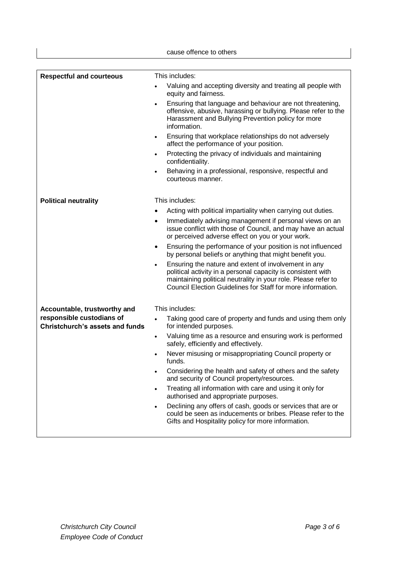|                                                                     | cause offence to others                                                                                                                                                                                                                                            |
|---------------------------------------------------------------------|--------------------------------------------------------------------------------------------------------------------------------------------------------------------------------------------------------------------------------------------------------------------|
|                                                                     |                                                                                                                                                                                                                                                                    |
| <b>Respectful and courteous</b>                                     | This includes:                                                                                                                                                                                                                                                     |
|                                                                     | Valuing and accepting diversity and treating all people with<br>equity and fairness.                                                                                                                                                                               |
|                                                                     | Ensuring that language and behaviour are not threatening,<br>$\bullet$<br>offensive, abusive, harassing or bullying. Please refer to the<br>Harassment and Bullying Prevention policy for more<br>information.                                                     |
|                                                                     | Ensuring that workplace relationships do not adversely<br>$\bullet$<br>affect the performance of your position.                                                                                                                                                    |
|                                                                     | Protecting the privacy of individuals and maintaining<br>$\bullet$<br>confidentiality.                                                                                                                                                                             |
|                                                                     | Behaving in a professional, responsive, respectful and<br>$\bullet$<br>courteous manner.                                                                                                                                                                           |
| <b>Political neutrality</b>                                         | This includes:                                                                                                                                                                                                                                                     |
|                                                                     | Acting with political impartiality when carrying out duties.                                                                                                                                                                                                       |
|                                                                     | Immediately advising management if personal views on an<br>$\bullet$<br>issue conflict with those of Council, and may have an actual<br>or perceived adverse effect on you or your work.                                                                           |
|                                                                     | Ensuring the performance of your position is not influenced<br>٠<br>by personal beliefs or anything that might benefit you.                                                                                                                                        |
|                                                                     | Ensuring the nature and extent of involvement in any<br>$\bullet$<br>political activity in a personal capacity is consistent with<br>maintaining political neutrality in your role. Please refer to<br>Council Election Guidelines for Staff for more information. |
| Accountable, trustworthy and                                        | This includes:                                                                                                                                                                                                                                                     |
| responsible custodians of<br><b>Christchurch's assets and funds</b> | Taking good care of property and funds and using them only<br>for intended purposes.                                                                                                                                                                               |
|                                                                     | Valuing time as a resource and ensuring work is performed<br>$\bullet$<br>safely, efficiently and effectively.                                                                                                                                                     |
|                                                                     | Never misusing or misappropriating Council property or<br>$\bullet$<br>funds.                                                                                                                                                                                      |
|                                                                     | Considering the health and safety of others and the safety<br>$\bullet$<br>and security of Council property/resources.                                                                                                                                             |
|                                                                     | Treating all information with care and using it only for<br>$\bullet$<br>authorised and appropriate purposes.                                                                                                                                                      |
|                                                                     | Declining any offers of cash, goods or services that are or<br>$\bullet$<br>could be seen as inducements or bribes. Please refer to the<br>Gifts and Hospitality policy for more information.                                                                      |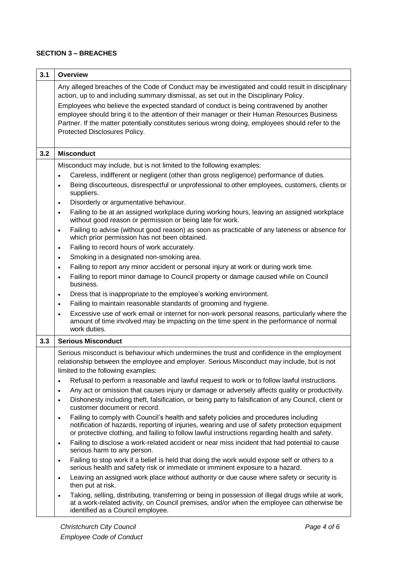# **SECTION 3 – BREACHES**

| 3.1 | <b>Overview</b>                                                                                                                                                                                                                                                                                       |
|-----|-------------------------------------------------------------------------------------------------------------------------------------------------------------------------------------------------------------------------------------------------------------------------------------------------------|
|     | Any alleged breaches of the Code of Conduct may be investigated and could result in disciplinary<br>action, up to and including summary dismissal, as set out in the Disciplinary Policy.<br>Employees who believe the expected standard of conduct is being contravened by another                   |
|     | employee should bring it to the attention of their manager or their Human Resources Business<br>Partner. If the matter potentially constitutes serious wrong doing, employees should refer to the<br>Protected Disclosures Policy.                                                                    |
| 3.2 | <b>Misconduct</b>                                                                                                                                                                                                                                                                                     |
|     | Misconduct may include, but is not limited to the following examples:                                                                                                                                                                                                                                 |
|     | Careless, indifferent or negligent (other than gross negligence) performance of duties.<br>$\bullet$                                                                                                                                                                                                  |
|     | Being discourteous, disrespectful or unprofessional to other employees, customers, clients or<br>$\bullet$<br>suppliers.                                                                                                                                                                              |
|     | Disorderly or argumentative behaviour.<br>$\bullet$                                                                                                                                                                                                                                                   |
|     | Failing to be at an assigned workplace during working hours, leaving an assigned workplace<br>$\bullet$<br>without good reason or permission or being late for work.                                                                                                                                  |
|     | Failing to advise (without good reason) as soon as practicable of any lateness or absence for<br>$\bullet$<br>which prior permission has not been obtained.                                                                                                                                           |
|     | Failing to record hours of work accurately.<br>$\bullet$                                                                                                                                                                                                                                              |
|     | Smoking in a designated non-smoking area.<br>$\bullet$                                                                                                                                                                                                                                                |
|     | Failing to report any minor accident or personal injury at work or during work time.<br>$\bullet$                                                                                                                                                                                                     |
|     | Failing to report minor damage to Council property or damage caused while on Council<br>$\bullet$<br>business.                                                                                                                                                                                        |
|     | Dress that is inappropriate to the employee's working environment.<br>$\bullet$                                                                                                                                                                                                                       |
|     | Failing to maintain reasonable standards of grooming and hygiene.<br>$\bullet$                                                                                                                                                                                                                        |
|     | Excessive use of work email or internet for non-work personal reasons, particularly where the<br>$\bullet$<br>amount of time involved may be impacting on the time spent in the performance of normal<br>work duties.                                                                                 |
| 3.3 | <b>Serious Misconduct</b>                                                                                                                                                                                                                                                                             |
|     | Serious misconduct is behaviour which undermines the trust and confidence in the employment<br>relationship between the employee and employer. Serious Misconduct may include, but is not<br>limited to the following examples:                                                                       |
|     | Refusal to perform a reasonable and lawful request to work or to follow lawful instructions.<br>$\bullet$                                                                                                                                                                                             |
|     | Any act or omission that causes injury or damage or adversely affects quality or productivity.<br>$\bullet$                                                                                                                                                                                           |
|     | Dishonesty including theft, falsification, or being party to falsification of any Council, client or<br>$\bullet$<br>customer document or record.                                                                                                                                                     |
|     | Failing to comply with Council's health and safety policies and procedures including<br>$\bullet$<br>notification of hazards, reporting of injuries, wearing and use of safety protection equipment<br>or protective clothing, and failing to follow lawful instructions regarding health and safety. |
|     | Failing to disclose a work-related accident or near miss incident that had potential to cause<br>$\bullet$<br>serious harm to any person.                                                                                                                                                             |
|     | Failing to stop work if a belief is held that doing the work would expose self or others to a<br>$\bullet$<br>serious health and safety risk or immediate or imminent exposure to a hazard.                                                                                                           |
|     | Leaving an assigned work place without authority or due cause where safety or security is<br>$\bullet$<br>then put at risk.                                                                                                                                                                           |
|     | Taking, selling, distributing, transferring or being in possession of illegal drugs while at work,<br>$\bullet$<br>at a work-related activity, on Council premises, and/or when the employee can otherwise be<br>identified as a Council employee.                                                    |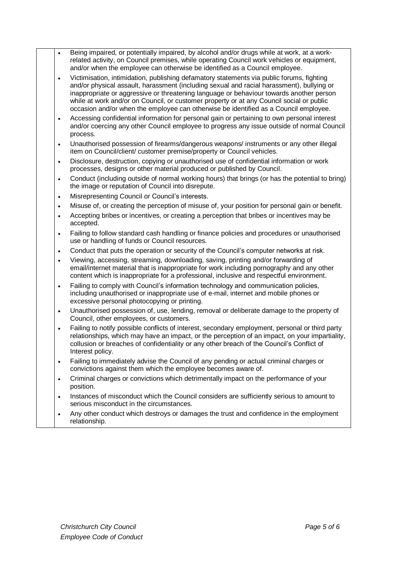- Being impaired, or potentially impaired, by alcohol and/or drugs while at work, at a workrelated activity, on Council premises, while operating Council work vehicles or equipment, and/or when the employee can otherwise be identified as a Council employee.
	- Victimisation, intimidation, publishing defamatory statements via public forums, fighting and/or physical assault, harassment (including sexual and racial harassment), bullying or inappropriate or aggressive or threatening language or behaviour towards another person while at work and/or on Council, or customer property or at any Council social or public occasion and/or when the employee can otherwise be identified as a Council employee.
	- Accessing confidential information for personal gain or pertaining to own personal interest and/or coercing any other Council employee to progress any issue outside of normal Council process.
	- Unauthorised possession of firearms/dangerous weapons/ instruments or any other illegal item on Council/client/ customer premise/property or Council vehicles.
	- Disclosure, destruction, copying or unauthorised use of confidential information or work processes, designs or other material produced or published by Council.
	- Conduct (including outside of normal working hours) that brings (or has the potential to bring) the image or reputation of Council into disrepute.
	- Misrepresenting Council or Council's interests.
	- Misuse of, or creating the perception of misuse of, your position for personal gain or benefit.
	- Accepting bribes or incentives, or creating a perception that bribes or incentives may be accepted.
	- Failing to follow standard cash handling or finance policies and procedures or unauthorised use or handling of funds or Council resources.
	- Conduct that puts the operation or security of the Council's computer networks at risk.
	- Viewing, accessing, streaming, downloading, saving, printing and/or forwarding of email/internet material that is inappropriate for work including pornography and any other content which is inappropriate for a professional, inclusive and respectful environment.
	- Failing to comply with Council's information technology and communication policies, including unauthorised or inappropriate use of e-mail, internet and mobile phones or excessive personal photocopying or printing.
	- Unauthorised possession of, use, lending, removal or deliberate damage to the property of Council, other employees, or customers.
	- Failing to notify possible conflicts of interest, secondary employment, personal or third party relationships, which may have an impact, or the perception of an impact, on your impartiality, collusion or breaches of confidentiality or any other breach of the Council's Conflict of Interest policy.
	- Failing to immediately advise the Council of any pending or actual criminal charges or convictions against them which the employee becomes aware of.
	- Criminal charges or convictions which detrimentally impact on the performance of your position.
	- Instances of misconduct which the Council considers are sufficiently serious to amount to serious misconduct in the circumstances.
	- Any other conduct which destroys or damages the trust and confidence in the employment relationship.